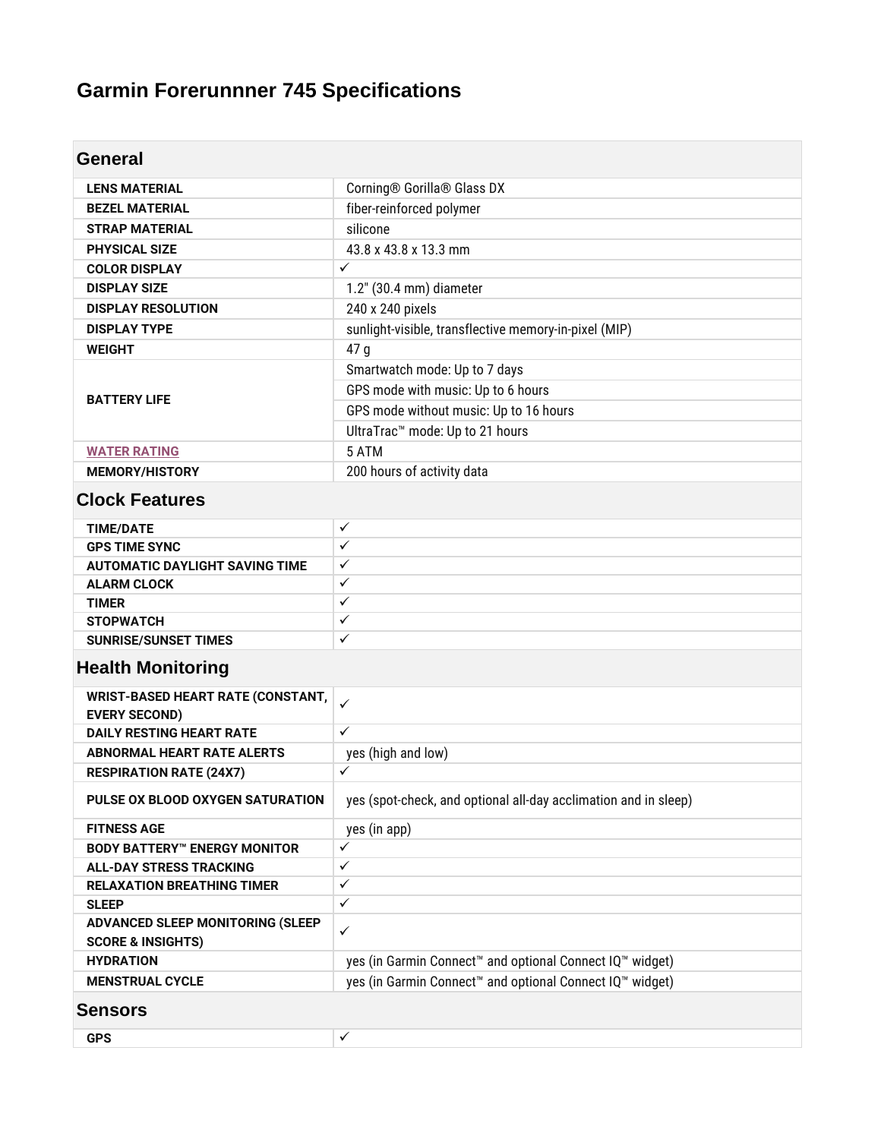# **Garmin Forerunnner 745 Specifications**

| <b>General</b>                           |                                                                                  |
|------------------------------------------|----------------------------------------------------------------------------------|
|                                          |                                                                                  |
| <b>LENS MATERIAL</b>                     | Corning® Gorilla® Glass DX                                                       |
| <b>BEZEL MATERIAL</b>                    | fiber-reinforced polymer                                                         |
| <b>STRAP MATERIAL</b>                    | silicone                                                                         |
| <b>PHYSICAL SIZE</b>                     | 43.8 x 43.8 x 13.3 mm                                                            |
| <b>COLOR DISPLAY</b>                     | $\checkmark$                                                                     |
| <b>DISPLAY SIZE</b>                      | 1.2" (30.4 mm) diameter                                                          |
| <b>DISPLAY RESOLUTION</b>                | 240 x 240 pixels                                                                 |
| <b>DISPLAY TYPE</b>                      | sunlight-visible, transflective memory-in-pixel (MIP)                            |
| <b>WEIGHT</b>                            | 47 g                                                                             |
|                                          | Smartwatch mode: Up to 7 days                                                    |
| <b>BATTERY LIFE</b>                      | GPS mode with music: Up to 6 hours                                               |
|                                          | GPS mode without music: Up to 16 hours                                           |
|                                          | UltraTrac <sup>™</sup> mode: Up to 21 hours                                      |
| <b>WATER RATING</b>                      | 5 ATM                                                                            |
| <b>MEMORY/HISTORY</b>                    | 200 hours of activity data                                                       |
| <b>Clock Features</b>                    |                                                                                  |
| <b>TIME/DATE</b>                         | $\checkmark$                                                                     |
| <b>GPS TIME SYNC</b>                     | $\checkmark$                                                                     |
| <b>AUTOMATIC DAYLIGHT SAVING TIME</b>    | ✓                                                                                |
| <b>ALARM CLOCK</b>                       | ✓                                                                                |
| <b>TIMER</b>                             | ✓                                                                                |
| <b>STOPWATCH</b>                         | $\checkmark$                                                                     |
| <b>SUNRISE/SUNSET TIMES</b>              | $\checkmark$                                                                     |
| <b>Health Monitoring</b>                 |                                                                                  |
| <b>WRIST-BASED HEART RATE (CONSTANT,</b> | ✓                                                                                |
| <b>EVERY SECOND)</b>                     |                                                                                  |
| <b>DAILY RESTING HEART RATE</b>          | $\checkmark$                                                                     |
| <b>ABNORMAL HEART RATE ALERTS</b>        | yes (high and low)                                                               |
| <b>RESPIRATION RATE (24X7)</b>           | ✓                                                                                |
| PULSE OX BLOOD OXYGEN SATURATION         | yes (spot-check, and optional all-day acclimation and in sleep)                  |
| <b>FITNESS AGE</b>                       | yes (in app)                                                                     |
| <b>BODY BATTERY™ ENERGY MONITOR</b>      | ✓                                                                                |
| <b>ALL-DAY STRESS TRACKING</b>           | ✓                                                                                |
| <b>RELAXATION BREATHING TIMER</b>        | $\checkmark$                                                                     |
| <b>SLEEP</b>                             | ✓                                                                                |
| ADVANCED SLEEP MONITORING (SLEEP         | $\checkmark$                                                                     |
| <b>SCORE &amp; INSIGHTS)</b>             |                                                                                  |
| <b>HYDRATION</b>                         | yes (in Garmin Connect <sup>™</sup> and optional Connect IQ™ widget)             |
| <b>MENSTRUAL CYCLE</b>                   | yes (in Garmin Connect <sup>™</sup> and optional Connect IQ <sup>™</sup> widget) |
| <b>Sensors</b>                           |                                                                                  |
| <b>GPS</b>                               | ✓                                                                                |
|                                          |                                                                                  |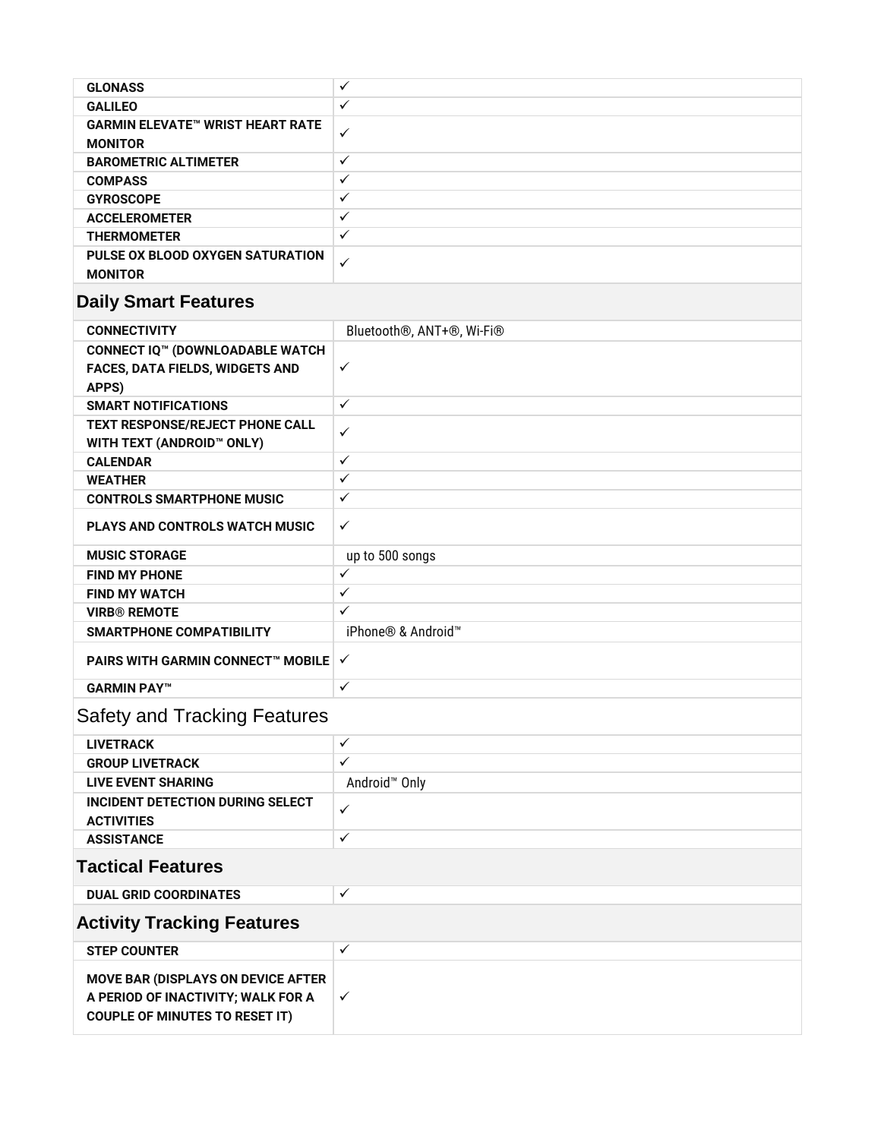| <b>GLONASS</b>                                            | ✓ |
|-----------------------------------------------------------|---|
| <b>GALILEO</b>                                            | ✓ |
| <b>GARMIN ELEVATE™ WRIST HEART RATE</b><br><b>MONITOR</b> | ✓ |
| <b>BAROMETRIC ALTIMETER</b>                               | ✓ |
| <b>COMPASS</b>                                            | ✓ |
| <b>GYROSCOPE</b>                                          | ✓ |
| <b>ACCELEROMETER</b>                                      | ✓ |
| <b>THERMOMETER</b>                                        | ✓ |
| PULSE OX BLOOD OXYGEN SATURATION<br><b>MONITOR</b>        | ✓ |

# **Daily Smart Features**

| <b>CONNECTIVITY</b>                                                                                                      | Bluetooth <sup>®</sup> , ANT+ <sup>®</sup> , Wi-Fi <sup>®</sup> |
|--------------------------------------------------------------------------------------------------------------------------|-----------------------------------------------------------------|
| <b>CONNECT IQ™ (DOWNLOADABLE WATCH</b>                                                                                   |                                                                 |
| FACES, DATA FIELDS, WIDGETS AND                                                                                          | $\checkmark$                                                    |
| APPS)                                                                                                                    |                                                                 |
| <b>SMART NOTIFICATIONS</b>                                                                                               | $\checkmark$                                                    |
| <b>TEXT RESPONSE/REJECT PHONE CALL</b>                                                                                   | $\checkmark$                                                    |
| WITH TEXT (ANDROID™ ONLY)                                                                                                |                                                                 |
| <b>CALENDAR</b>                                                                                                          | $\checkmark$                                                    |
| <b>WEATHER</b>                                                                                                           | $\checkmark$                                                    |
| <b>CONTROLS SMARTPHONE MUSIC</b>                                                                                         | $\checkmark$                                                    |
| <b>PLAYS AND CONTROLS WATCH MUSIC</b>                                                                                    | $\checkmark$                                                    |
| <b>MUSIC STORAGE</b>                                                                                                     | up to 500 songs                                                 |
| <b>FIND MY PHONE</b>                                                                                                     | $\checkmark$                                                    |
| <b>FIND MY WATCH</b>                                                                                                     | $\checkmark$                                                    |
| <b>VIRB® REMOTE</b>                                                                                                      | $\checkmark$                                                    |
| <b>SMARTPHONE COMPATIBILITY</b>                                                                                          | iPhone® & Android <sup>™</sup>                                  |
| <b>PAIRS WITH GARMIN CONNECT™ MOBILE V</b>                                                                               |                                                                 |
| <b>GARMIN PAY™</b>                                                                                                       | $\checkmark$                                                    |
| <b>Safety and Tracking Features</b>                                                                                      |                                                                 |
| <b>LIVETRACK</b>                                                                                                         | $\checkmark$                                                    |
| <b>GROUP LIVETRACK</b>                                                                                                   | $\checkmark$                                                    |
| <b>LIVE EVENT SHARING</b>                                                                                                | Android <sup>™</sup> Only                                       |
| <b>INCIDENT DETECTION DURING SELECT</b><br><b>ACTIVITIES</b>                                                             | $\checkmark$                                                    |
| <b>ASSISTANCE</b>                                                                                                        | $\checkmark$                                                    |
| <b>Tactical Features</b>                                                                                                 |                                                                 |
| <b>DUAL GRID COORDINATES</b>                                                                                             | $\checkmark$                                                    |
| <b>Activity Tracking Features</b>                                                                                        |                                                                 |
| <b>STEP COUNTER</b>                                                                                                      | $\checkmark$                                                    |
| <b>MOVE BAR (DISPLAYS ON DEVICE AFTER</b><br>A PERIOD OF INACTIVITY; WALK FOR A<br><b>COUPLE OF MINUTES TO RESET IT)</b> | $\checkmark$                                                    |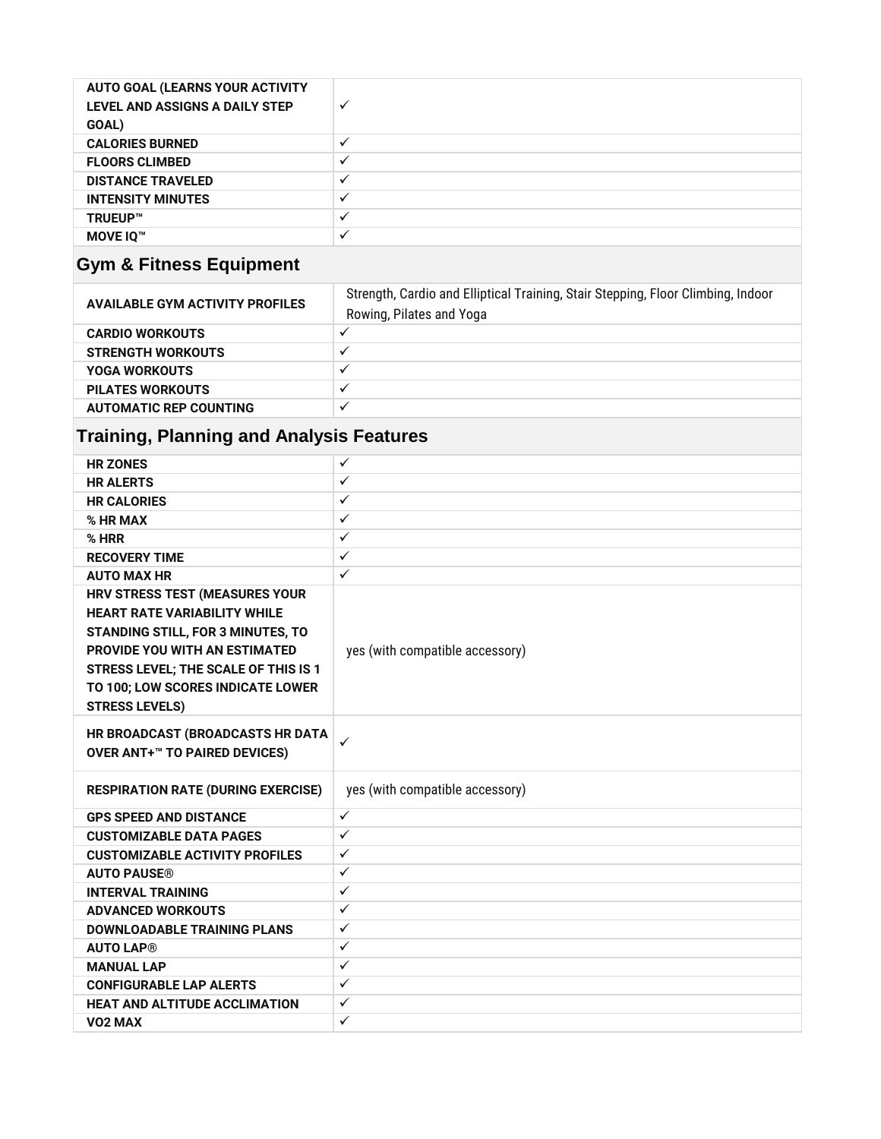| <b>AUTO GOAL (LEARNS YOUR ACTIVITY</b><br>LEVEL AND ASSIGNS A DAILY STEP<br>GOAL) | ✓ |
|-----------------------------------------------------------------------------------|---|
| <b>CALORIES BURNED</b>                                                            |   |
| <b>FLOORS CLIMBED</b>                                                             |   |
| <b>DISTANCE TRAVELED</b>                                                          |   |
| <b>INTENSITY MINUTES</b>                                                          |   |
| TRUEUP™                                                                           |   |
| <b>MOVE IO™</b>                                                                   |   |

# **Gym & Fitness Equipment**

| <b>AVAILABLE GYM ACTIVITY PROFILES</b> | Strength, Cardio and Elliptical Training, Stair Stepping, Floor Climbing, Indoor<br>Rowing, Pilates and Yoga |
|----------------------------------------|--------------------------------------------------------------------------------------------------------------|
| <b>CARDIO WORKOUTS</b>                 |                                                                                                              |
| <b>STRENGTH WORKOUTS</b>               |                                                                                                              |
| <b>YOGA WORKOUTS</b>                   | $\cdot$                                                                                                      |
| <b>PILATES WORKOUTS</b>                |                                                                                                              |
| <b>AUTOMATIC REP COUNTING</b>          |                                                                                                              |

# **Training, Planning and Analysis Features**

| ✓                               |
|---------------------------------|
| ✓                               |
| ✓                               |
| ✓                               |
| ✓                               |
| ✓                               |
| $\checkmark$                    |
|                                 |
|                                 |
|                                 |
| yes (with compatible accessory) |
|                                 |
|                                 |
|                                 |
|                                 |
| ✓                               |
|                                 |
| yes (with compatible accessory) |
| $\checkmark$                    |
| ✓                               |
| $\checkmark$                    |
| $\checkmark$                    |
| ✓                               |
| ✓                               |
| ✓                               |
| ✓                               |
| ✓                               |
| ✓                               |
| ✓                               |
| $\checkmark$                    |
|                                 |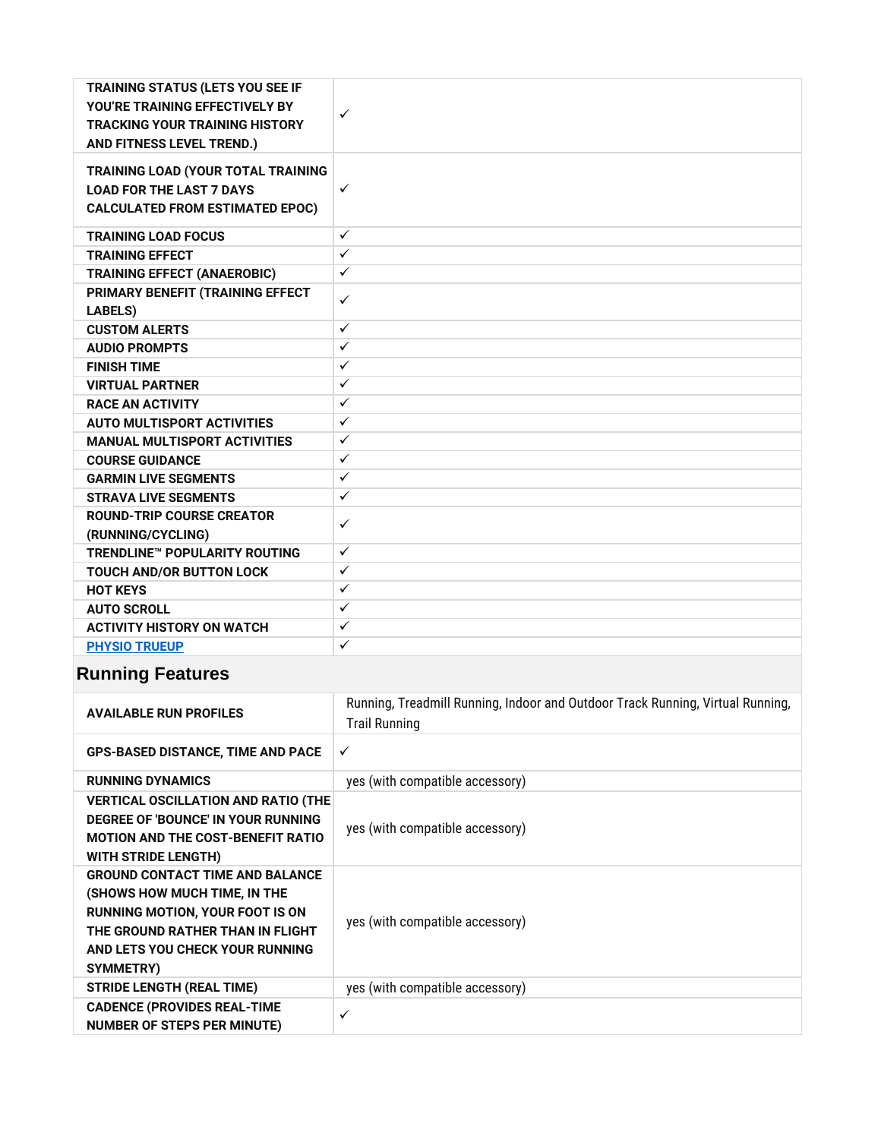| <b>TRAINING STATUS (LETS YOU SEE IF</b><br>YOU'RE TRAINING EFFECTIVELY BY<br><b>TRACKING YOUR TRAINING HISTORY</b><br>AND FITNESS LEVEL TREND.) | $\checkmark$ |
|-------------------------------------------------------------------------------------------------------------------------------------------------|--------------|
| TRAINING LOAD (YOUR TOTAL TRAINING<br><b>LOAD FOR THE LAST 7 DAYS</b><br><b>CALCULATED FROM ESTIMATED EPOC)</b>                                 | $\checkmark$ |
| <b>TRAINING LOAD FOCUS</b>                                                                                                                      | $\checkmark$ |
| <b>TRAINING EFFECT</b>                                                                                                                          | ✓            |
| <b>TRAINING EFFECT (ANAEROBIC)</b>                                                                                                              | $\checkmark$ |
| PRIMARY BENEFIT (TRAINING EFFECT<br><b>LABELS)</b>                                                                                              | ✓            |
| <b>CUSTOM ALERTS</b>                                                                                                                            | $\checkmark$ |
| <b>AUDIO PROMPTS</b>                                                                                                                            | ✓            |
| <b>FINISH TIME</b>                                                                                                                              | $\checkmark$ |
| <b>VIRTUAL PARTNER</b>                                                                                                                          | $\checkmark$ |
| <b>RACE AN ACTIVITY</b>                                                                                                                         | ✓            |
| <b>AUTO MULTISPORT ACTIVITIES</b>                                                                                                               | $\checkmark$ |
| <b>MANUAL MULTISPORT ACTIVITIES</b>                                                                                                             | ✓            |
| <b>COURSE GUIDANCE</b>                                                                                                                          | $\checkmark$ |
| <b>GARMIN LIVE SEGMENTS</b>                                                                                                                     | $\checkmark$ |
| <b>STRAVA LIVE SEGMENTS</b>                                                                                                                     | $\checkmark$ |
| <b>ROUND-TRIP COURSE CREATOR</b><br>(RUNNING/CYCLING)                                                                                           | $\checkmark$ |
| <b>TRENDLINE™ POPULARITY ROUTING</b>                                                                                                            | $\checkmark$ |
| <b>TOUCH AND/OR BUTTON LOCK</b>                                                                                                                 | $\checkmark$ |
| <b>HOT KEYS</b>                                                                                                                                 | $\checkmark$ |
| <b>AUTO SCROLL</b>                                                                                                                              | ✓            |
| <b>ACTIVITY HISTORY ON WATCH</b>                                                                                                                | $\checkmark$ |
| <b>PHYSIO TRUEUP</b>                                                                                                                            | ✓            |

### **Running Features**

| <b>AVAILABLE RUN PROFILES</b>                                                                                                                                                                        | Running, Treadmill Running, Indoor and Outdoor Track Running, Virtual Running,<br><b>Trail Running</b> |
|------------------------------------------------------------------------------------------------------------------------------------------------------------------------------------------------------|--------------------------------------------------------------------------------------------------------|
| <b>GPS-BASED DISTANCE, TIME AND PACE</b>                                                                                                                                                             | $\checkmark$                                                                                           |
| <b>RUNNING DYNAMICS</b>                                                                                                                                                                              | yes (with compatible accessory)                                                                        |
| <b>VERTICAL OSCILLATION AND RATIO (THE</b><br>DEGREE OF 'BOUNCE' IN YOUR RUNNING<br><b>MOTION AND THE COST-BENEFIT RATIO</b><br>WITH STRIDE LENGTH)                                                  | yes (with compatible accessory)                                                                        |
| <b>GROUND CONTACT TIME AND BALANCE</b><br>(SHOWS HOW MUCH TIME, IN THE<br><b>RUNNING MOTION, YOUR FOOT IS ON</b><br>THE GROUND RATHER THAN IN FLIGHT<br>AND LETS YOU CHECK YOUR RUNNING<br>SYMMETRY) | yes (with compatible accessory)                                                                        |
| <b>STRIDE LENGTH (REAL TIME)</b>                                                                                                                                                                     | yes (with compatible accessory)                                                                        |
| <b>CADENCE (PROVIDES REAL-TIME</b><br><b>NUMBER OF STEPS PER MINUTE)</b>                                                                                                                             | ✓                                                                                                      |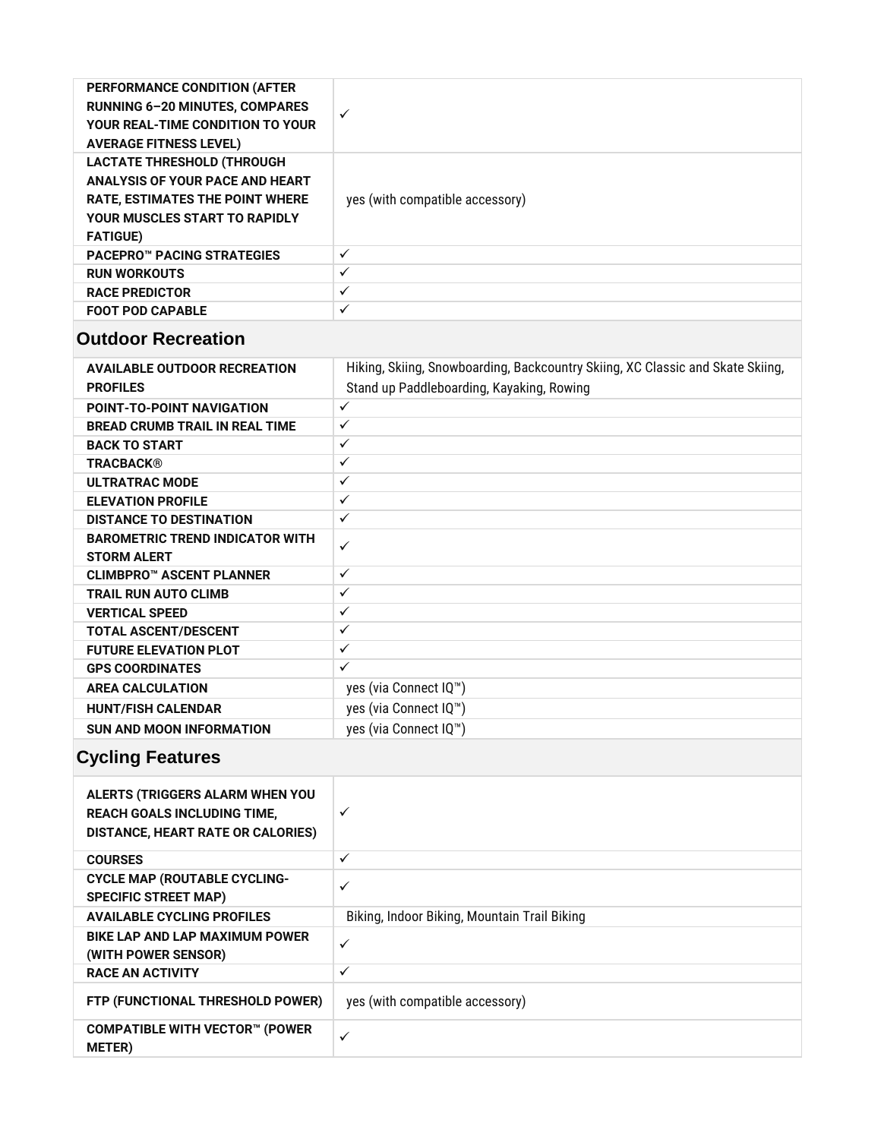| <b>PERFORMANCE CONDITION (AFTER)</b><br><b>RUNNING 6-20 MINUTES, COMPARES</b><br>YOUR REAL-TIME CONDITION TO YOUR<br><b>AVERAGE FITNESS LEVEL)</b>                        | ✓                               |
|---------------------------------------------------------------------------------------------------------------------------------------------------------------------------|---------------------------------|
| <b>LACTATE THRESHOLD (THROUGH</b><br>ANALYSIS OF YOUR PACE AND HEART<br><b>RATE, ESTIMATES THE POINT WHERE</b><br><b>YOUR MUSCLES START TO RAPIDLY</b><br><b>FATIGUE)</b> | yes (with compatible accessory) |
| <b>PACEPRO™ PACING STRATEGIES</b>                                                                                                                                         | $\checkmark$                    |
| <b>RUN WORKOUTS</b>                                                                                                                                                       | $\checkmark$                    |
| <b>RACE PREDICTOR</b>                                                                                                                                                     | ✓                               |
| <b>FOOT POD CAPABLE</b>                                                                                                                                                   | $\checkmark$                    |
|                                                                                                                                                                           |                                 |

#### **Outdoor Recreation**

| <b>AVAILABLE OUTDOOR RECREATION</b><br><b>PROFILES</b> | Hiking, Skiing, Snowboarding, Backcountry Skiing, XC Classic and Skate Skiing,<br>Stand up Paddleboarding, Kayaking, Rowing |
|--------------------------------------------------------|-----------------------------------------------------------------------------------------------------------------------------|
| <b>POINT-TO-POINT NAVIGATION</b>                       | $\checkmark$                                                                                                                |
| <b>BREAD CRUMB TRAIL IN REAL TIME</b>                  | $\checkmark$                                                                                                                |
| <b>BACK TO START</b>                                   | $\checkmark$                                                                                                                |
| <b>TRACBACK®</b>                                       | $\checkmark$                                                                                                                |
| <b>ULTRATRAC MODE</b>                                  | $\checkmark$                                                                                                                |
| <b>ELEVATION PROFILE</b>                               | $\checkmark$                                                                                                                |
| <b>DISTANCE TO DESTINATION</b>                         | $\checkmark$                                                                                                                |
| <b>BAROMETRIC TREND INDICATOR WITH</b>                 | $\checkmark$                                                                                                                |
| <b>STORM ALERT</b>                                     |                                                                                                                             |
| CLIMBPRO™ ASCENT PLANNER                               | $\checkmark$                                                                                                                |
| <b>TRAIL RUN AUTO CLIMB</b>                            | $\checkmark$                                                                                                                |
| <b>VERTICAL SPEED</b>                                  | $\checkmark$                                                                                                                |
| <b>TOTAL ASCENT/DESCENT</b>                            | $\checkmark$                                                                                                                |
| <b>FUTURE ELEVATION PLOT</b>                           | $\checkmark$                                                                                                                |
| <b>GPS COORDINATES</b>                                 | $\checkmark$                                                                                                                |
| <b>AREA CALCULATION</b>                                | yes (via Connect IQ™)                                                                                                       |
| <b>HUNT/FISH CALENDAR</b>                              | yes (via Connect IQ™)                                                                                                       |
| <b>SUN AND MOON INFORMATION</b>                        | yes (via Connect IQ <sup>™</sup> )                                                                                          |
|                                                        |                                                                                                                             |

### **Cycling Features**

| ALERTS (TRIGGERS ALARM WHEN YOU<br><b>REACH GOALS INCLUDING TIME,</b><br><b>DISTANCE, HEART RATE OR CALORIES)</b> | ✓                                            |
|-------------------------------------------------------------------------------------------------------------------|----------------------------------------------|
| <b>COURSES</b>                                                                                                    | ✓                                            |
| <b>CYCLE MAP (ROUTABLE CYCLING-</b><br><b>SPECIFIC STREET MAP)</b>                                                | ✓                                            |
| <b>AVAILABLE CYCLING PROFILES</b>                                                                                 | Biking, Indoor Biking, Mountain Trail Biking |
| <b>BIKE LAP AND LAP MAXIMUM POWER</b><br>(WITH POWER SENSOR)                                                      | ✓                                            |
| <b>RACE AN ACTIVITY</b>                                                                                           | ✓                                            |
| FTP (FUNCTIONAL THRESHOLD POWER)                                                                                  | yes (with compatible accessory)              |
| <b>COMPATIBLE WITH VECTOR™ (POWER</b><br><b>METER</b> )                                                           | ✓                                            |